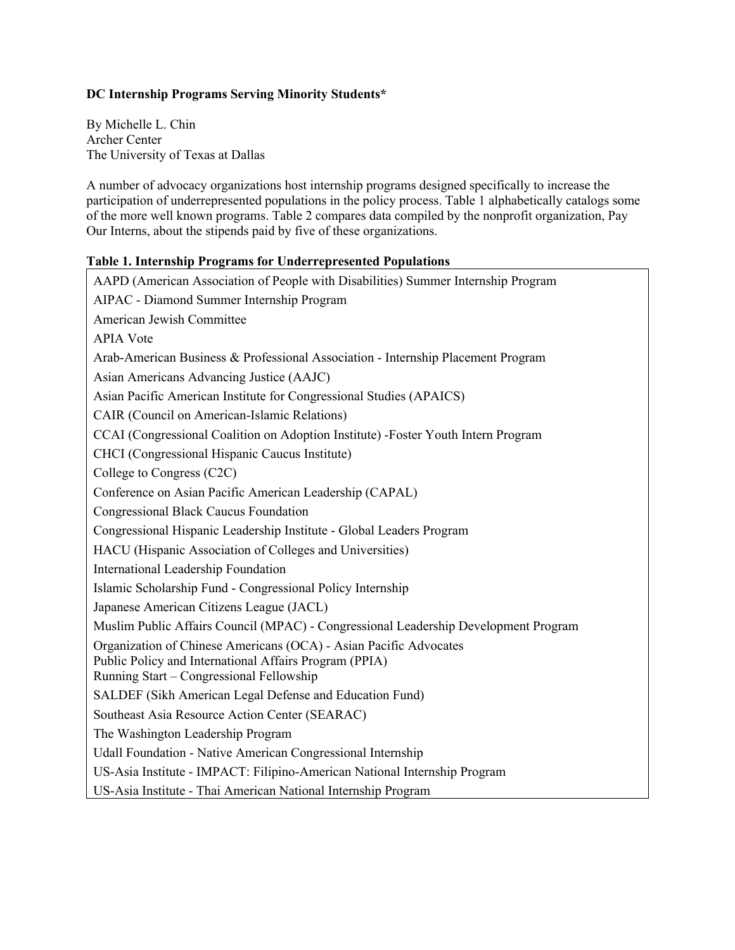## **DC Internship Programs Serving Minority Students\***

By Michelle L. Chin Archer Center The University of Texas at Dallas

A number of advocacy organizations host internship programs designed specifically to increase the participation of underrepresented populations in the policy process. Table 1 alphabetically catalogs some of the more well known programs. Table 2 compares data compiled by the nonprofit organization, Pay Our Interns, about the stipends paid by five of these organizations.

## **Table 1. Internship Programs for Underrepresented Populations**

AAPD (American Association of People with Disabilities) Summer Internship Program AIPAC - Diamond Summer Internship Program American Jewish Committee APIA Vote Arab-American Business & Professional Association - Internship Placement Program Asian Americans Advancing Justice (AAJC) Asian Pacific American Institute for Congressional Studies (APAICS) CAIR (Council on American-Islamic Relations) CCAI (Congressional Coalition on Adoption Institute) -Foster Youth Intern Program CHCI (Congressional Hispanic Caucus Institute) College to Congress (C2C) Conference on Asian Pacific American Leadership (CAPAL) Congressional Black Caucus Foundation Congressional Hispanic Leadership Institute - Global Leaders Program HACU (Hispanic Association of Colleges and Universities) International Leadership Foundation Islamic Scholarship Fund - Congressional Policy Internship Japanese American Citizens League (JACL) Muslim Public Affairs Council (MPAC) - Congressional Leadership Development Program Organization of Chinese Americans (OCA) - Asian Pacific Advocates Public Policy and International Affairs Program (PPIA) Running Start – Congressional Fellowship SALDEF (Sikh American Legal Defense and Education Fund) Southeast Asia Resource Action Center (SEARAC) The Washington Leadership Program Udall Foundation - Native American Congressional Internship US-Asia Institute - IMPACT: Filipino-American National Internship Program US-Asia Institute - Thai American National Internship Program